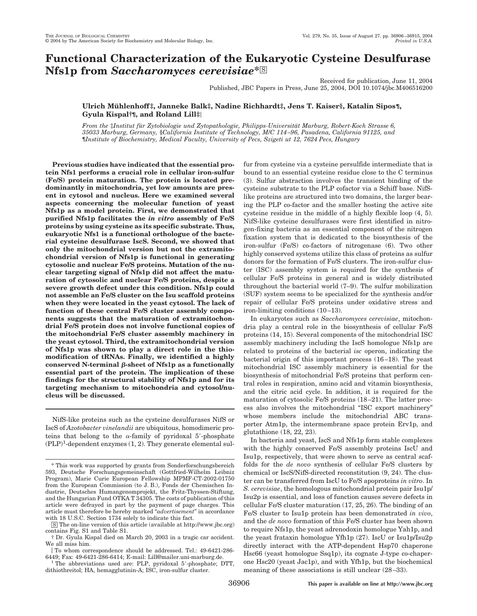# **Functional Characterization of the Eukaryotic Cysteine Desulfurase Nfs1p from Saccharomyces cerevisiae**\*<sup>8</sup>

Received for publication, June 11, 2004 Published, JBC Papers in Press, June 25, 2004, DOI 10.1074/jbc.M406516200

## **Ulrich Mu¨ hlenhoff‡, Janneke Balk‡, Nadine Richhardt‡, Jens T. Kaiser§, Katalin Sipos¶, Gyula Kispal†¶, and Roland Lill‡**

*From the* ‡*Institut fu¨r Zytobiologie und Zytopathologie, Philipps-Universita¨t Marburg, Robert-Koch Strasse 6, 35033 Marburg, Germany,* §*California Institute of Technology, M*/*C 114–96, Pasadena, California 91125, and* ¶*Institute of Biochemistry, Medical Faculty, University of Pecs, Szigeti ut 12, 7624 Pecs, Hungary*

**Previous studies have indicated that the essential protein Nfs1 performs a crucial role in cellular iron-sulfur (Fe/S) protein maturation. The protein is located predominantly in mitochondria, yet low amounts are present in cytosol and nucleus. Here we examined several aspects concerning the molecular function of yeast Nfs1p as a model protein. First, we demonstrated that purified Nfs1p facilitates the** *in vitro* **assembly of Fe/S proteins by using cysteine as its specific substrate. Thus, eukaryotic Nfs1 is a functional orthologue of the bacterial cysteine desulfurase IscS. Second, we showed that only the mitochondrial version but not the extramitochondrial version of Nfs1p is functional in generating cytosolic and nuclear Fe/S proteins. Mutation of the nuclear targeting signal of Nfs1p did not affect the maturation of cytosolic and nuclear Fe/S proteins, despite a severe growth defect under this condition. Nfs1p could not assemble an Fe/S cluster on the Isu scaffold proteins when they were located in the yeast cytosol. The lack of function of these central Fe/S cluster assembly components suggests that the maturation of extramitochondrial Fe/S protein does not involve functional copies of the mitochondrial Fe/S cluster assembly machinery in the yeast cytosol. Third, the extramitochondrial version of Nfs1p was shown to play a direct role in the thiomodification of tRNAs. Finally, we identified a highly** conserved N-terminal  $\beta$ -sheet of Nfs1p as a functionally **essential part of the protein. The implication of these findings for the structural stability of Nfs1p and for its targeting mechanism to mitochondria and cytosol/nucleus will be discussed.**

NifS-like proteins such as the cysteine desulfurases NifS or IscS of *Azotobacter vinelandii* are ubiquitous, homodimeric proteins that belong to the  $\alpha$ -family of pyridoxal 5'-phosphate  $(PLP)^1$ -dependent enzymes  $(1, 2)$ . They generate elemental sulfur from cysteine via a cysteine persulfide intermediate that is bound to an essential cysteine residue close to the C terminus (3). Sulfur abstraction involves the transient binding of the cysteine substrate to the PLP cofactor via a Schiff base. NifSlike proteins are structured into two domains, the larger bearing the PLP co-factor and the smaller hosting the active site cysteine residue in the middle of a highly flexible loop (4, 5). NifS-like cysteine desulfurases were first identified in nitrogen-fixing bacteria as an essential component of the nitrogen fixation system that is dedicated to the biosynthesis of the iron-sulfur (Fe/S) co-factors of nitrogenase (6). Two other highly conserved systems utilize this class of proteins as sulfur donors for the formation of Fe/S clusters. The iron-sulfur cluster (ISC) assembly system is required for the synthesis of cellular Fe/S proteins in general and is widely distributed throughout the bacterial world (7–9). The sulfur mobilization (SUF) system seems to be specialized for the synthesis and/or repair of cellular Fe/S proteins under oxidative stress and iron-limiting conditions (10–13).

In eukaryotes such as *Saccharomyces cerevisiae*, mitochondria play a central role in the biosynthesis of cellular Fe/S proteins (14, 15). Several components of the mitochondrial ISC assembly machinery including the IscS homologue Nfs1p are related to proteins of the bacterial *isc* operon, indicating the bacterial origin of this important process (16–18). The yeast mitochondrial ISC assembly machinery is essential for the biosynthesis of mitochondrial Fe/S proteins that perform central roles in respiration, amino acid and vitamin biosynthesis, and the citric acid cycle. In addition, it is required for the maturation of cytosolic Fe/S proteins (18–21). The latter process also involves the mitochondrial "ISC export machinery" whose members include the mitochondrial ABC transporter Atm1p, the intermembrane space protein Erv1p, and glutathione (18, 22, 23).

In bacteria and yeast, IscS and Nfs1p form stable complexes with the highly conserved Fe/S assembly proteins IscU and Isu1p, respectively, that were shown to serve as central scaffolds for the *de novo* synthesis of cellular Fe/S clusters by chemical or IscS/NifS-directed reconstitution (9, 24). The cluster can be transferred from IscU to Fe/S apoproteins *in vitro*. In *S. cerevisiae*, the homologous mitochondrial protein pair Isu1p/ Isu2p is essential, and loss of function causes severe defects in cellular Fe/S cluster maturation (17, 25, 26). The binding of an Fe/S cluster to Isu1p protein has been demonstrated *in vivo*, and the *de novo* formation of this Fe/S cluster has been shown to require Nfs1p, the yeast adrenodoxin homologue Yah1p, and the yeast frataxin homologue Yfh1p (27). IscU or Isu1p/Isu2p directly interact with the ATP-dependent Hsp70 chaperone Hsc66 (yeast homologue Ssq1p), its cognate J-type co-chaperone Hsc20 (yeast Jac1p), and with Yfh1p, but the biochemical meaning of these associations is still unclear (28–33).

<sup>\*</sup> This work was supported by grants from Sonderforschungsbereich 593, Deutsche Forschungsgemeinschaft (Gottfried-Wilhelm Leibniz Program), Marie Curie European Fellowship MPMF-CT-2002-01750 from the European Commission (to J. B.), Fonds der Chemischen Industrie, Deutsches Humangenomprojekt, the Fritz-Thyssen-Stiftung, and the Hungarian Fund OTKA T 34305. The costs of publication of this article were defrayed in part by the payment of page charges. This article must therefore be hereby marked "*advertisement*" in accordance with 18 U.S.C. Section 1734 solely to indicate this fact.

<sup>□</sup>S The on-line version of this article (available at http://www.jbc.org) contains Fig. S1 and Table S1.

<sup>†</sup> Dr. Gyula Kispal died on March 20, 2003 in a tragic car accident. We all miss him.

To whom correspondence should be addressed. Tel.: 49-6421-286-6449; Fax: 49-6421-286-6414; E-mail: Lill@mailer.uni-marburg.de.

 $1$ <sup>1</sup>The abbreviations used are: PLP, pyridoxal 5'-phosphate; DTT, dithiothreitol; HA, hemagglutinin-A; ISC, iron-sulfur cluster.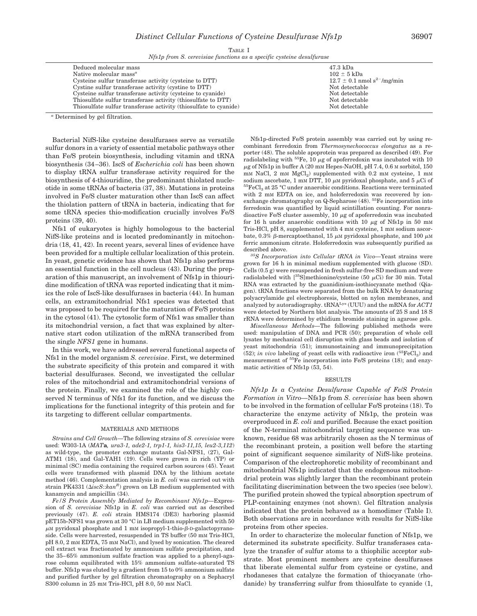TABLE I *Nfs1p from S. cerevisiae functions as a specific cysteine desulfurase*

| Deduced molecular mass                                           | 47.3 kDa                                    |
|------------------------------------------------------------------|---------------------------------------------|
| Native molecular mass <sup><math>a</math></sup>                  | $102 \pm 5$ kDa                             |
| Cysteine sulfur transferase activity (cysteine to DTT)           | $12.7 \pm 0.1$ nmol s <sup>2-</sup> /mg/min |
| Cystine sulfur transferase activity (cystine to DTT)             | Not detectable                              |
| Cysteine sulfur transferase activity (cysteine to cyanide)       | Not detectable                              |
| Thiosulfate sulfur transferase activity (thiosulfate to DTT)     | Not detectable                              |
| Thiosulfate sulfur transferase activity (thiosulfate to cyanide) | Not detectable                              |
|                                                                  |                                             |

*<sup>a</sup>* Determined by gel filtration.

Bacterial NifS-like cysteine desulfurases serve as versatile sulfur donors in a variety of essential metabolic pathways other than Fe/S protein biosynthesis, including vitamin and tRNA biosynthesis (34–36). IscS of *Escherichia coli* has been shown to display tRNA sulfur transferase activity required for the biosynthesis of 4-thiouridine, the predominant thiolated nucleotide in some tRNAs of bacteria (37, 38). Mutations in proteins involved in Fe/S cluster maturation other than IscS can affect the thiolation pattern of tRNA in bacteria, indicating that for some tRNA species thio-modification crucially involves Fe/S proteins (39, 40).

Nfs1 of eukaryotes is highly homologous to the bacterial NifS-like proteins and is located predominantly in mitochondria (18, 41, 42). In recent years, several lines of evidence have been provided for a multiple cellular localization of this protein. In yeast, genetic evidence has shown that Nfs1p also performs an essential function in the cell nucleus (43). During the preparation of this manuscript, an involvement of Nfs1p in thiouridine modification of tRNA was reported indicating that it mimics the role of IscS-like desulfurases in bacteria (44). In human cells, an extramitochondrial Nfs1 species was detected that was proposed to be required for the maturation of Fe/S proteins in the cytosol (41). The cytosolic form of Nfs1 was smaller than its mitochondrial version, a fact that was explained by alternative start codon utilization of the mRNA transcribed from the single *NFS1* gene in humans.

In this work, we have addressed several functional aspects of Nfs1 in the model organism *S. cerevisiae*. First, we determined the substrate specificity of this protein and compared it with bacterial desulfurases. Second, we investigated the cellular roles of the mitochondrial and extramitochondrial versions of the protein. Finally, we examined the role of the highly conserved N terminus of Nfs1 for its function, and we discuss the implications for the functional integrity of this protein and for its targeting to different cellular compartments.

### MATERIALS AND METHODS

*Strains and Cell Growth—*The following strains of *S. cerevisiae* were used: W303-1A (*MAT***a***, ura3-1, ade2-1, trp1-1, his3-11,15, leu2-3,112*) as wild-type, the promoter exchange mutants Gal-NFS1, (27), Gal-ATM1 (18), and Gal-YAH1 (19). Cells were grown in rich (YP) or minimal (SC) media containing the required carbon sources (45). Yeast cells were transformed with plasmid DNA by the lithium acetate method (46). Complementation analysis in *E. coli* was carried out with strain PK4331 ( $\triangle iscS::kan^R$ ) grown on LB medium supplemented with kanamycin and ampicillin (34).

*Fe/S Protein Assembly Mediated by Recombinant Nfs1p—*Expression of *S. cerevisiae* Nfs1p in *E. coli* was carried out as described previously (47). *E. coli* strain HMS174 (DE3) harboring plasmid pET15b-NFS1 was grown at 30 °C in LB medium supplemented with 50 μM pyridoxal phosphate and 1 mM isopropyl-1-thio-β-D-galactopyranoside. Cells were harvested, resuspended in TS buffer (50 mM Tris-HCl, pH 8.0, 2 mM EDTA, 75 mM NaCl), and lysed by sonication. The cleared cell extract was fractionated by ammonium sulfate precipitation, and the 35–65% ammonium sulfate fraction was applied to a phenyl-agarose column equilibrated with 15% ammonium sulfate-saturated TS buffer. Nfs1p was eluted by a gradient from 15 to 0% ammonium sulfate and purified further by gel filtration chromatography on a Sephacryl S300 column in 25 mM Tris-HCl, pH 8.0, 50 mM NaCl.

Nfs1p-directed Fe/S protein assembly was carried out by using recombinant ferredoxin from *Thermosynechococcus elongatus* as a reporter (48). The soluble apoprotein was prepared as described (49). For radiolabeling with  ${}^{55}Fe$ , 10  $\mu$ g of apoferredoxin was incubated with 10 -g of Nfs1p in buffer A (20 mM Hepes-NaOH, pH 7.4, 0.6 M sorbitol, 150  $mm$  NaCl,  $2$  mM  $MgCl<sub>2</sub>$ ) supplemented with 0.2 mM cysteine, 1 mM sodium ascorbate, 1 mm DTT, 10  $\mu$ m pyridoxal phosphate, and 5  $\mu$ Ci of  ${}^{55}FeCl<sub>3</sub>$  at 25 °C under anaerobic conditions. Reactions were terminated with 2 mM EDTA on ice, and holoferredoxin was recovered by ionexchange chromatography on Q-Sepharose (48). 55Fe incorporation into ferredoxin was quantified by liquid scintillation counting. For nonradioactive Fe/S cluster assembly,  $10 \mu$ g of apoferredoxin was incubated for 16 h under anaerobic conditions with 10  $\mu$ g of Nfs1p in 50 mm Tris-HCl, pH 8, supplemented with 4 mM cysteine, 1 mM sodium ascorbate, 0.3%  $\beta$ -mercaptoethanol, 15  $\mu$ M pyridoxal phosphate, and 100  $\mu$ M ferric ammonium citrate. Holoferredoxin was subsequently purified as described above.

*35S Incorporation into Cellular tRNA in Vivo—*Yeast strains were grown for 16 h in minimal medium supplemented with glucose (SD). Cells (0.5 g) were resuspended in fresh sulfur-free SD medium and were radiolabeled with  $[^{35}S]$ methionine/cysteine (50  $\mu$ Ci) for 30 min. Total RNA was extracted by the guanidinium-isothiocyanate method (Qiagen). tRNA fractions were separated from the bulk RNA by denaturing polyacrylamide gel electrophoresis, blotted on nylon membranes, and analyzed by autoradiography. tRNALys (UUU) and the mRNA for *ACT1* were detected by Northern blot analysis. The amounts of 25 S and 18 S rRNA were determined by ethidium bromide staining in agarose gels.

*Miscellaneous Methods—*The following published methods were used: manipulation of DNA and PCR (50); preparation of whole cell lysates by mechanical cell disruption with glass beads and isolation of yeast mitochondria (51); immunostaining and immunoprecipitation  $(52)$ ; *in vivo* labeling of yeast cells with radioactive iron  $(^{55}FeCl<sub>3</sub>)$  and measurement of 55Fe incorporation into Fe/S proteins (18); and enzymatic activities of Nfs1p (53, 54).

#### RESULTS

*Nfs1p Is a Cysteine Desulfurase Capable of Fe*/*S Protein Formation in Vitro—*Nfs1p from *S. cerevisiae* has been shown to be involved in the formation of cellular Fe/S proteins (18). To characterize the enzyme activity of Nfs1p, the protein was overproduced in *E. coli* and purified. Because the exact position of the N-terminal mitochondrial targeting sequence was unknown, residue 68 was arbitrarily chosen as the N terminus of the recombinant protein, a position well before the starting point of significant sequence similarity of NifS-like proteins. Comparison of the electrophoretic mobility of recombinant and mitochondrial Nfs1p indicated that the endogenous mitochondrial protein was slightly larger than the recombinant protein facilitating discrimination between the two species (see below). The purified protein showed the typical absorption spectrum of PLP-containing enzymes (not shown). Gel filtration analysis indicated that the protein behaved as a homodimer (Table I). Both observations are in accordance with results for NifS-like proteins from other species.

In order to characterize the molecular function of Nfs1p, we determined its substrate specificity. Sulfur transferases catalyze the transfer of sulfur atoms to a thiophilic acceptor substrate. Most prominent members are cysteine desulfurases that liberate elemental sulfur from cysteine or cystine, and rhodaneses that catalyze the formation of thiocyanate (rhodanide) by transferring sulfur from thiosulfate to cyanide (1,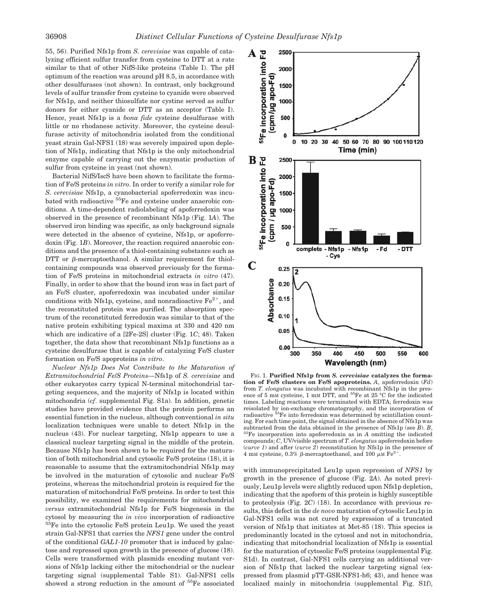55, 56). Purified Nfs1p from *S. cerevisiae* was capable of catalyzing efficient sulfur transfer from cysteine to DTT at a rate similar to that of other NifS-like proteins (Table I). The pH optimum of the reaction was around pH 8.5, in accordance with other desulfurases (not shown). In contrast, only background levels of sulfur transfer from cysteine to cyanide were observed for Nfs1p, and neither thiosulfate nor cystine served as sulfur donors for either cyanide or DTT as an acceptor (Table I). Hence, yeast Nfs1p is a *bona fide* cysteine desulfurase with little or no rhodanese activity. Moreover, the cysteine desulfurase activity of mitochondria isolated from the conditional yeast strain Gal-NFS1 (18) was severely impaired upon depletion of Nfs1p, indicating that Nfs1p is the only mitochondrial enzyme capable of carrying out the enzymatic production of sulfur from cysteine in yeast (not shown).

Bacterial NifS/IscS have been shown to facilitate the formation of Fe/S proteins *in vitro*. In order to verify a similar role for *S. cerevisiae* Nfs1p, a cyanobacterial apoferredoxin was incubated with radioactive <sup>55</sup>Fe and cysteine under anaerobic conditions. A time-dependent radiolabeling of apoferredoxin was observed in the presence of recombinant Nfs1p (Fig. 1*A*). The observed iron binding was specific, as only background signals were detected in the absence of cysteine, Nfs1p, or apoferredoxin (Fig. 1*B*). Moreover, the reaction required anaerobic conditions and the presence of a thiol-containing substance such as DTT or  $\beta$ -mercaptoethanol. A similar requirement for thiolcontaining compounds was observed previously for the formation of Fe/S proteins in mitochondrial extracts *in vitro* (47). Finally, in order to show that the bound iron was in fact part of an Fe/S cluster, apoferredoxin was incubated under similar conditions with Nfs1p, cysteine, and nonradioactive  $Fe<sup>2+</sup>$ , and the reconstituted protein was purified. The absorption spectrum of the reconstituted ferredoxin was similar to that of the native protein exhibiting typical maxima at 330 and 420 nm which are indicative of a [2Fe-2S] cluster (Fig. 1*C*; 48). Taken together, the data show that recombinant Nfs1p functions as a cysteine desulfurase that is capable of catalyzing Fe/S cluster formation on Fe/S apoproteins *in vitro*.

*Nuclear Nfs1p Does Not Contribute to the Maturation of Extramitochondrial Fe*/*S Proteins—*Nfs1p of *S. cerevisiae* and other eukaryotes carry typical N-terminal mitochondrial targeting sequences, and the majority of Nfs1p is located within mitochondria (*cf*. supplemental Fig. S1a). In addition, genetic studies have provided evidence that the protein performs an essential function in the nucleus, although conventional *in situ* localization techniques were unable to detect Nfs1p in the nucleus (43). For nuclear targeting, Nfs1p appears to use a classical nuclear targeting signal in the middle of the protein. Because Nfs1p has been shown to be required for the maturation of both mitochondrial and cytosolic Fe/S proteins (18), it is reasonable to assume that the extramitochondrial Nfs1p may be involved in the maturation of cytosolic and nuclear Fe/S proteins, whereas the mitochondrial protein is required for the maturation of mitochondrial Fe/S proteins. In order to test this possibility, we examined the requirements for mitochondrial *versus* extramitochondrial Nfs1p for Fe/S biogenesis in the cytosol by measuring the *in vivo* incorporation of radioactive 55Fe into the cytosolic Fe/S protein Leu1p. We used the yeast strain Gal-NFS1 that carries the *NFS1* gene under the control of the conditional *GAL1-10* promoter that is induced by galactose and repressed upon growth in the presence of glucose (18). Cells were transformed with plasmids encoding mutant versions of Nfs1p lacking either the mitochondrial or the nuclear targeting signal (supplemental Table S1). Gal-NFS1 cells showed a strong reduction in the amount of  $55Fe$  associated



FIG. 1. **Purified Nfs1p from** *S. cerevisiae* **catalyzes the formation of Fe/S clusters on Fe/S apoproteins.** *A*, apoferredoxin (*Fd*) from *T. elongatus* was incubated with recombinant Nfs1p in the presence of 5 mM cysteine, 1 mM DTT, and  $55Fe$  at 25 °C for the indicated times. Labeling reactions were terminated with EDTA; ferredoxin was reisolated by ion-exchange chromatography, and the incorporation of radioactive 55Fe into ferredoxin was determined by scintillation counting. For each time point, the signal obtained in the absence of Nfs1p was subtracted from the data obtained in the presence of Nfs1p (see  $B$ ).  $B$ , <sup>55</sup>Fe incorporation into apoferredoxin as in *A* omitting the indicated compounds; *C*, UV/visible spectrum of *T. elongatus* apoferredoxin before (*curve 1*) and after (*curve 2*) reconstitution by Nfs1p in the presence of 4 mm cysteine, 0.3%  $\beta$ -mercaptoethanol, and 100  $\mu$ m Fe<sup>2+</sup>.

with immunoprecipitated Leu1p upon repression of *NFS1* by growth in the presence of glucose (Fig. 2*A*). As noted previously, Leu1p levels were slightly reduced upon Nfs1p depletion, indicating that the apoform of this protein is highly susceptible to proteolysis (Fig. 2*C*) (18). In accordance with previous results, this defect in the *de novo* maturation of cytosolic Leu1p in Gal-NFS1 cells was not cured by expression of a truncated version of Nfs1p that initiates at Met-85 (18). This species is predominantly located in the cytosol and not in mitochondria, indicating that mitochondrial localization of Nfs1p is essential for the maturation of cytosolic Fe/S proteins (supplemental Fig. S1d). In contrast, Gal-NFS1 cells carrying an additional version of Nfs1p that lacked the nuclear targeting signal (expressed from plasmid pTT-GSR-NFS1-h6; 43), and hence was localized mainly in mitochondria (supplemental Fig. S1f),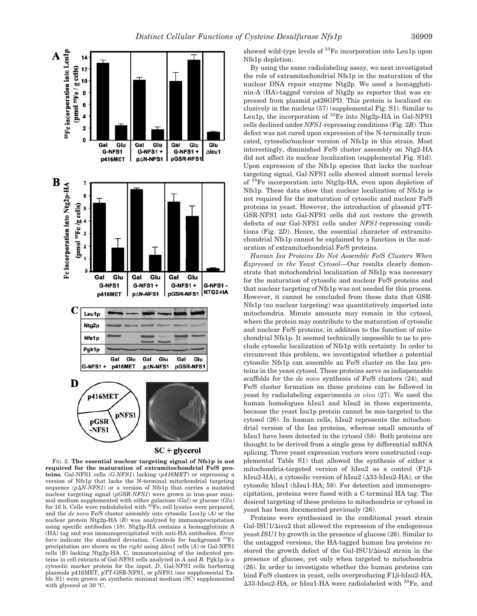

 $SC + glycerol$ 

FIG. 2. **The essential nuclear targeting signal of Nfs1p is not required for the maturation of extramitochondrial Fe/S proteins.** Gal-NFS1 cells (*G-NFS1*) lacking (*p416MET*) or expressing a version of Nfs1p that lacks the N-terminal mitochondrial targeting sequence  $(p \Delta N\text{-}NFS1)$  or a version of Nfs1p that carries a mutated nuclear targeting signal (*pGSR-NFS1*) were grown in iron-poor minimal medium supplemented with either galactose (*Gal*) or glucose (*Glu*) for 16 h. Cells were radiolabeled with  ${}^{55}Fe$ ; cell lysates were prepared, and the *de novo* Fe/S cluster assembly into cytosolic Leu1p (*A*) or the nuclear protein Ntg2p-HA (*B*) was analyzed by immunoprecipitation using specific antibodies (18). Ntg2p-HA contains a hemagglutinin A (HA) tag and was immunoprecipitated with anti-HA antibodies. *Error bars* indicate the standard deviation. Controls for background 55Fe precipitation are shown on the *right* using  $\Delta$ leu1 cells (*A*) or Gal-NFS1 cells (*B*) lacking Ntg2p-HA. *C,* immunostaining of the indicated proteins in cell extracts of Gal-NFS1 cells analyzed in *A* and *B*. Pgk1p is a cytosolic marker protein for the input. *D,* Gal-NFS1 cells harboring plasmids p416MET, pTT-GSR-NFS1, or pNFS1 (see supplemental Table S1) were grown on synthetic minimal medium (SC) supplemented with glycerol at 30 °C.

showed wild-type levels of <sup>55</sup>Fe incorporation into Leu1p upon Nfs1p depletion.

By using the same radiolabeling assay, we next investigated the role of extramitochondrial Nfs1p in the maturation of the nuclear DNA repair enzyme Ntg2p. We used a hemagglutinin-A (HA)-tagged version of Ntg2p as reporter that was expressed from plasmid p426GPD. This protein is localized exclusively in the nucleus (57) (supplemental Fig. S1). Similar to Leu1p, the incorporation of  ${}^{55}Fe$  into Ntg2p-HA in Gal-NFS1 cells declined under *NFS1*-repressing conditions (Fig. 2*B*). This defect was not cured upon expression of the N-terminally truncated, cytosolic/nuclear version of Nfs1p in this strain. Most interestingly, diminished Fe/S cluster assembly on Ntg2-HA did not affect its nuclear localization (supplemental Fig. S1d). Upon expression of the Nfs1p species that lacks the nuclear targeting signal, Gal-NFS1 cells showed almost normal levels of 55Fe incorporation into Ntg2p-HA, even upon depletion of Nfs1p. These data show that nuclear localization of Nfs1p is not required for the maturation of cytosolic and nuclear Fe/S proteins in yeast. However, the introduction of plasmid pTT-GSR-NFS1 into Gal-NFS1 cells did not restore the growth defects of our Gal-NFS1 cells under *NFS1*-repressing conditions (Fig. 2*D*). Hence, the essential character of extramitochondrial Nfs1p cannot be explained by a function in the maturation of extramitochondrial Fe/S proteins.

*Human Isu Proteins Do Not Assemble Fe*/*S Clusters When Expressed in the Yeast Cytosol—*Our results clearly demonstrate that mitochondrial localization of Nfs1p was necessary for the maturation of cytosolic and nuclear Fe/S proteins and that nuclear targeting of Nfs1p was not needed for this process. However, it cannot be concluded from these data that GSR-Nfs1p (no nuclear targeting) was quantitatively imported into mitochondria. Minute amounts may remain in the cytosol, where the protein may contribute to the maturation of cytosolic and nuclear Fe/S proteins, in addition to the function of mitochondrial Nfs1p. It seemed technically impossible to us to preclude cytosolic localization of Nfs1p with certainty. In order to circumvent this problem, we investigated whether a potential cytosolic Nfs1p can assemble an Fe/S cluster on the Isu proteins in the yeast cytosol. These proteins serve as indispensable scaffolds for the *de novo* synthesis of Fe/S clusters (24), and Fe/S cluster formation on these proteins can be followed in yeast by radiolabeling experiments *in vivo* (27). We used the human homologues hIsu1 and hIsu2 in these experiments, because the yeast Isu1p protein cannot be mis-targeted to the cytosol (26). In human cells, hIsu2 represents the mitochondrial version of the Isu proteins, whereas small amounts of hIsu1 have been detected in the cytosol (58). Both proteins are thought to be derived from a single gene by differential mRNA splicing. Three yeast expression vectors were constructed (supplemental Table S1) that allowed the synthesis of either a mitochondria-targeted version of hIsu2 as a control  $(F1\beta$ hIsu2-HA), a cytosolic version of hIsu2 ( $\Delta 33$ -hIsu2-HA), or the cytosolic hIsu1 (hIsu1-HA; 58). For detection and immunoprecipitation, proteins were fused with a C-terminal HA tag. The desired targeting of these proteins to mitochondria or cytosol in yeast has been documented previously (26).

Proteins were synthesized in the conditional yeast strain  $Gal-ISU1/\Delta$ isu2 that allowed the repression of the endogenous yeast *ISU1* by growth in the presence of glucose (26). Similar to the untagged versions, the HA-tagged human Isu proteins restored the growth defect of the Gal-ISU1/ $\Delta$ isu2 strain in the presence of glucose, yet only when targeted to mitochondria (26). In order to investigate whether the human proteins can bind Fe/S clusters in yeast, cells overproducing  $F1\beta-hIsu2-HA$ ,  $\Delta$ 33-hIsu2-HA, or hIsu1-HA were radiolabeled with <sup>55</sup>Fe, and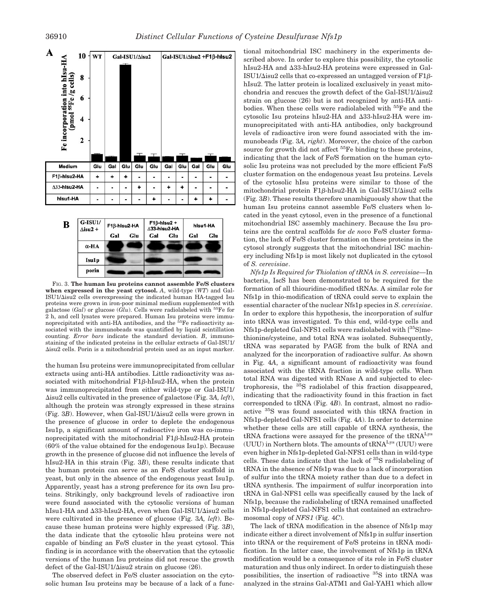



FIG. 3. **The human Isu proteins cannot assemble Fe/S clusters when expressed in the yeast cytosol.** *A*, wild-type (*WT*) and Gal- $ISU1/\Delta$ isu2 cells overexpressing the indicated human HA-tagged Isu proteins were grown in iron-poor minimal medium supplemented with galactose (*Gal*) or glucose (*Glu*). Cells were radiolabeled with 55Fe for 2 h, and cell lysates were prepared. Human Isu proteins were immu-noprecipitated with anti-HA antibodies, and the 55Fe radioactivity associated with the immunobeads was quantified by liquid scintillation counting. *Error bars* indicate the standard deviation. *B*, immunostaining of the indicated proteins in the cellular extracts of Gal-ISU1/ -isu2 cells. Porin is a mitochondrial protein used as an input marker.

the human Isu proteins were immunoprecipitated from cellular extracts using anti-HA antibodies. Little radioactivity was associated with mitochondrial  $F1\beta$ -hIsu2-HA, when the protein was immunoprecipitated from either wild-type or Gal-ISU1/ -isu2 cells cultivated in the presence of galactose (Fig. 3*A, left*), although the protein was strongly expressed in these strains  $(Fig. 3B)$ . However, when Gal-ISU1/ $\Delta$ isu2 cells were grown in the presence of glucose in order to deplete the endogenous Isu1p, a significant amount of radioactive iron was co-immunoprecipitated with the mitochondrial  $F1\beta$ -hIsu2-HA protein (60% of the value obtained for the endogenous Isu1p). Because growth in the presence of glucose did not influence the levels of hIsu2-HA in this strain (Fig. 3*B*), these results indicate that the human protein can serve as an Fe/S cluster scaffold in yeast, but only in the absence of the endogenous yeast Isu1p. Apparently, yeast has a strong preference for its own Isu proteins. Strikingly, only background levels of radioactive iron were found associated with the cytosolic versions of human hIsu1-HA and ∆33-hIsu2-HA, even when Gal-ISU1/∆isu2 cells were cultivated in the presence of glucose (Fig. 3*A, left*). Because these human proteins were highly expressed (Fig. 3*B*), the data indicate that the cytosolic hIsu proteins were not capable of binding an Fe/S cluster in the yeast cytosol. This finding is in accordance with the observation that the cytosolic versions of the human Isu proteins did not rescue the growth defect of the Gal-ISU1/ $\Delta$ isu2 strain on glucose (26).

The observed defect in Fe/S cluster association on the cytosolic human Isu proteins may be because of a lack of a functional mitochondrial ISC machinery in the experiments described above. In order to explore this possibility, the cytosolic hIsu2-HA and  $\Delta 33$ -hIsu2-HA proteins were expressed in Gal-ISU1/ $\Delta$ isu2 cells that co-expressed an untagged version of F1 $\beta$ hIsu2. The latter protein is localized exclusively in yeast mitochondria and rescues the growth defect of the Gal-ISU1/ $\Delta$ isu2 strain on glucose (26) but is not recognized by anti-HA antibodies. When these cells were radiolabeled with 55Fe and the cytosolic Isu proteins hIsu2-HA and  $\Delta 33$ -hIsu2-HA were immunoprecipitated with anti-HA antibodies, only background levels of radioactive iron were found associated with the immunobeads (Fig. 3*A, right*). Moreover, the choice of the carbon source for growth did not affect <sup>55</sup>Fe binding to these proteins, indicating that the lack of Fe/S formation on the human cytosolic Isu proteins was not precluded by the more efficient Fe/S cluster formation on the endogenous yeast Isu proteins. Levels of the cytosolic hIsu proteins were similar to those of the  $mitochondrial$  protein  $F1\beta$ -hIsu2-HA in Gal-ISU1/ $\Delta$ isu2 cells (Fig. 3*B*). These results therefore unambiguously show that the human Isu proteins cannot assemble Fe/S clusters when located in the yeast cytosol, even in the presence of a functional mitochondrial ISC assembly machinery. Because the Isu proteins are the central scaffolds for *de novo* Fe/S cluster formation, the lack of Fe/S cluster formation on these proteins in the cytosol strongly suggests that the mitochondrial ISC machinery including Nfs1p is most likely not duplicated in the cytosol of *S. cerevisiae*.

*Nfs1p Is Required for Thiolation of tRNA in S. cerevisiae—*In bacteria, IscS has been demonstrated to be required for the formation of all thiouridine-modified tRNAs. A similar role for Nfs1p in thio-modification of tRNA could serve to explain the essential character of the nuclear Nfs1p species in *S. cerevisiae*. In order to explore this hypothesis, the incorporation of sulfur into tRNA was investigated. To this end, wild-type cells and Nfs1p-depleted Gal-NFS1 cells were radiolabeled with [35S]methionine/cysteine, and total RNA was isolated. Subsequently, tRNA was separated by PAGE from the bulk of RNA and analyzed for the incorporation of radioactive sulfur. As shown in Fig. 4*A*, a significant amount of radioactivity was found associated with the tRNA fraction in wild-type cells. When total RNA was digested with RNase A and subjected to electrophoresis, the 35S radiolabel of this fraction disappeared, indicating that the radioactivity found in this fraction in fact corresponded to tRNA (Fig. 4*B*). In contrast, almost no radioactive 35S was found associated with this tRNA fraction in Nfs1p-depleted Gal-NFS1 cells (Fig. 4*A*). In order to determine whether these cells are still capable of tRNA synthesis, the tRNA fractions were assayed for the presence of the tRNALys (UUU) in Northern blots. The amounts of  $tRNA<sup>Lys</sup>$  (UUU) were even higher in Nfs1p-depleted Gal-NFS1 cells than in wild-type cells. These data indicate that the lack of 35S radiolabeling of tRNA in the absence of Nfs1p was due to a lack of incorporation of sulfur into the tRNA moiety rather than due to a defect in tRNA synthesis. The impairment of sulfur incorporation into tRNA in Gal-NFS1 cells was specifically caused by the lack of Nfs1p, because the radiolabeling of tRNA remained unaffected in Nfs1p-depleted Gal-NFS1 cells that contained an extrachromosomal copy of *NFS1* (Fig. 4*C*).

The lack of tRNA modification in the absence of Nfs1p may indicate either a direct involvement of Nfs1p in sulfur insertion into tRNA or the requirement of Fe/S proteins in tRNA modification. In the latter case, the involvement of Nfs1p in tRNA modification would be a consequence of its role in Fe/S cluster maturation and thus only indirect. In order to distinguish these possibilities, the insertion of radioactive 35S into tRNA was analyzed in the strains Gal-ATM1 and Gal-YAH1 which allow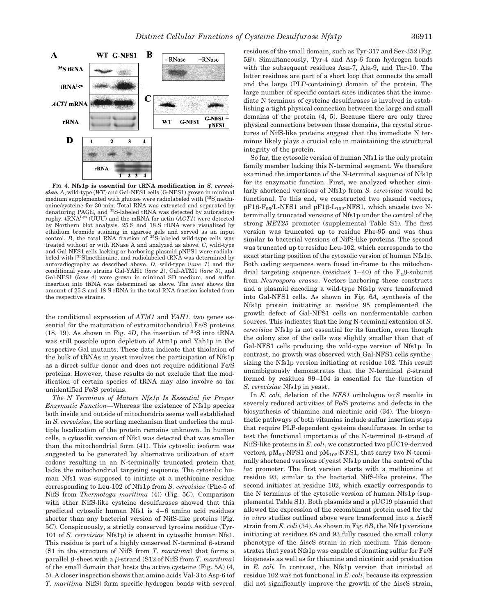

FIG. 4. **Nfs1p is essential for tRNA modification in** *S. cerevisiae. A*, wild-type (*WT*) and Gal-NFS1 cells (G-NFS1) grown in minimal medium supplemented with glucose were radiolabeled with [<sup>35</sup>S]methionine/cysteine for 30 min. Total RNA was extracted and separated by denaturing PAGE, and <sup>35</sup>S-labeled tRNA was detected by autoradiography. tRNALys (UUU) and the mRNA for actin (*ACT1*) were detected by Northern blot analysis. 25 S and 18 S rRNA were visualized by ethidium bromide staining in agarose gels and served as an input control. *B*, the total RNA fraction of <sup>35</sup>S-labeled wild-type cells was treated without or with RNase A and analyzed as above. *C*, wild-type and Gal-NFS1 cells lacking or harboring plasmid pNFS1 were radiolabeled with [35S]methionine, and radiolabeled tRNA was determined by autoradiography as described above. *D*, wild-type (*lane 1*) and the conditional yeast strains Gal-YAH1 (*lane 2*), Gal-ATM1 (*lane 3*), and Gal-NFS1 (*lane 4*) were grown in minimal SD medium, and sulfur insertion into tRNA was determined as above. The *inset* shows the amount of 25 S and 18 S rRNA in the total RNA fraction isolated from the respective strains.

the conditional expression of *ATM1* and *YAH1*, two genes essential for the maturation of extramitochondrial Fe/S proteins  $(18, 19)$ . As shown in Fig.  $4D$ , the insertion of  $35S$  into tRNA was still possible upon depletion of Atm1p and Yah1p in the respective Gal mutants. These data indicate that thiolation of the bulk of tRNAs in yeast involves the participation of Nfs1p as a direct sulfur donor and does not require additional Fe/S proteins. However, these results do not exclude that the modification of certain species of tRNA may also involve so far unidentified Fe/S proteins.

*The N Terminus of Mature Nfs1p Is Essential for Proper Enzymatic Function—*Whereas the existence of Nfs1p species both inside and outside of mitochondria seems well established in *S. cerevisiae*, the sorting mechanism that underlies the multiple localization of the protein remains unknown. In human cells, a cytosolic version of Nfs1 was detected that was smaller than the mitochondrial form (41). This cytosolic isoform was suggested to be generated by alternative utilization of start codons resulting in an N-terminally truncated protein that lacks the mitochondrial targeting sequence. The cytosolic human Nfs1 was supposed to initiate at a methionine residue corresponding to Leu-102 of Nfs1p from *S. cerevisiae* (Phe-5 of NifS from *Thermotoga maritima* (4)) (Fig. 5*C*). Comparison with other NifS-like cysteine desulfurases showed that this predicted cytosolic human Nfs1 is 4–6 amino acid residues shorter than any bacterial version of NifS-like proteins (Fig. 5*C*). Conspicuously, a strictly conserved tyrosine residue (Tyr-101 of *S. cerevisiae* Nfs1p) is absent in cytosolic human Nfs1. This residue is part of a highly conserved N-terminal  $\beta$ -strand (S1 in the structure of NifS from *T. maritima*) that forms a parallel  $\beta$ -sheet with a  $\beta$ -strand (S12 of NifS from *T. maritima*) of the small domain that hosts the active cysteine (Fig. 5*A*) (4, 5). A closer inspection shows that amino acids Val-3 to Asp-6 (of *T. maritima* NifS) form specific hydrogen bonds with several

residues of the small domain, such as Tyr-317 and Ser-352 (Fig. 5*B*). Simultaneously, Tyr-4 and Asp-6 form hydrogen bonds with the subsequent residues Asn-7, Ala-9, and Thr-10. The latter residues are part of a short loop that connects the small and the large (PLP-containing) domain of the protein. The large number of specific contact sites indicates that the immediate N terminus of cysteine desulfurases is involved in establishing a tight physical connection between the large and small domains of the protein (4, 5). Because there are only three physical connections between these domains, the crystal structures of NifS-like proteins suggest that the immediate N terminus likely plays a crucial role in maintaining the structural integrity of the protein.

So far, the cytosolic version of human Nfs1 is the only protein family member lacking this N-terminal segment. We therefore examined the importance of the N-terminal sequence of Nfs1p for its enzymatic function. First, we analyzed whether similarly shortened versions of Nfs1p from *S. cerevisiae* would be functional. To this end, we constructed two plasmid vectors,  $pF1\beta-F_{95}/L-NFS1$  and  $pF1\beta-L_{102}-NFS1$ , which encode two Nterminally truncated versions of Nfs1p under the control of the strong *MET25* promoter (supplemental Table S1). The first version was truncated up to residue Phe-95 and was thus similar to bacterial versions of NifS-like proteins. The second was truncated up to residue Leu-102, which corresponds to the exact starting position of the cytosolic version of human Nfs1p. Both coding sequences were fused in-frame to the mitochondrial targeting sequence (residues 1–40) of the  $F_1\beta$ -subunit from *Neurospora crassa*. Vectors harboring these constructs and a plasmid encoding a wild-type Nfs1p were transformed into Gal-NFS1 cells. As shown in Fig. 6*A,* synthesis of the Nfs1p protein initiating at residue 95 complemented the growth defect of Gal-NFS1 cells on nonfermentable carbon sources. This indicates that the long N-terminal extension of *S. cerevisiae* Nfs1p is not essential for its function, even though the colony size of the cells was slightly smaller than that of Gal-NFS1 cells producing the wild-type version of Nfs1p. In contrast, no growth was observed with Gal-NFS1 cells synthesizing the Nfs1p version initiating at residue 102. This result unambiguously demonstrates that the N-terminal  $\beta$ -strand formed by residues 99–104 is essential for the function of *S. cerevisiae* Nfs1p in yeast.

In *E. coli*, deletion of the *NFS1* orthologue *iscS* results in severely reduced activities of Fe/S proteins and defects in the biosynthesis of thiamine and nicotinic acid (34). The biosynthetic pathways of both vitamins include sulfur insertion steps that require PLP-dependent cysteine desulfurases. In order to test the functional importance of the N-terminal  $\beta$ -strand of NifS-like proteins in *E. coli*, we constructed two pUC19-derived vectors,  $pM_{93}$ -NFS1 and  $pM_{102}$ -NFS1, that carry two N-terminally shortened versions of yeast Nfs1p under the control of the *lac* promoter. The first version starts with a methionine at residue 93, similar to the bacterial NifS-like proteins. The second initiates at residue 102, which exactly corresponds to the N terminus of the cytosolic version of human Nfs1p (supplemental Table S1). Both plasmids and a pUC19 plasmid that allowed the expression of the recombinant protein used for the *in vitro* studies outlined above were transformed into a  $\triangle$ iscS strain from *E. coli* (34). As shown in Fig. 6*B*, the Nfs1p versions initiating at residues 68 and 93 fully rescued the small colony phenotype of the  $\Delta$ iscS strain in rich medium. This demonstrates that yeast Nfs1p was capable of donating sulfur for Fe/S biogenesis as well as for thiamine and nicotinic acid production in *E. coli*. In contrast, the Nfs1p version that initiated at residue 102 was not functional in *E. coli*, because its expression did not significantly improve the growth of the  $\Delta$ iscS strain,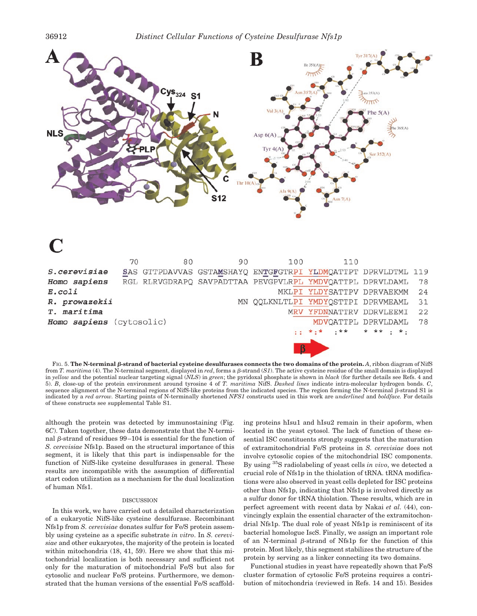

|                          | 70 | 80 | 90                                                            | 100                                | 110                                         |           |    |
|--------------------------|----|----|---------------------------------------------------------------|------------------------------------|---------------------------------------------|-----------|----|
| <i>S.cerevisiae</i>      |    |    | SAS GTTPDAVVAS GSTAMSHAYQ ENTGFGTRPI YLDMQATTPT DPRVLDTML 119 |                                    |                                             |           |    |
| Homo sapiens             |    |    | RGL RLRVGDRAPQ SAVPADTTAA PEVGPVLRPL YMDVQATTPL DPRVLDAML     |                                    |                                             |           | 78 |
| $E.$ <i>coli</i>         |    |    |                                                               |                                    | MKLPI YLDYSATTPV DPRVAEKMM                  |           | 24 |
| R. prowazekii            |    |    |                                                               | MN QQLKNLTLPI YMDYQSTTPI DPRVMEAML |                                             |           | 31 |
| T. maritima              |    |    |                                                               | MRV YFDNNATTRV DDRVLEEMI           |                                             | 22        |    |
| Homo sapiens (cytosolic) |    |    |                                                               | MDVOATTPL DPRVLDAML                | 78                                          |           |    |
|                          |    |    |                                                               |                                    | $\pm \pm \star \pm \star$ $\pm \star \star$ | * ** . *. |    |
|                          |    |    |                                                               |                                    |                                             |           |    |

FIG. 5. The N-terminal  $\beta$ -strand of bacterial cysteine desulfurases connects the two domains of the protein.  $A$ , ribbon diagram of NifS from *T. maritima* (4). The N-terminal segment, displayed in *red*, forms a  $\beta$ -strand (*S1*). The active cysteine residue of the small domain is displayed in *yellow* and the potential nuclear targeting signal (*NLS*) in *green*; the pyridoxal phosphate is shown in *black* (for further details see Refs. 4 and 5). *B*, close-up of the protein environment around tyrosine 4 of *T. maritima* NifS. *Dashed lines* indicate intra-molecular hydrogen bonds. *C*, sequence alignment of the N-terminal regions of NifS-like proteins from the indicated species. The region forming the N-terminal  $\beta$ -strand S1 is indicated by a *red arrow.* Starting points of N-terminally shortened *NFS1* constructs used in this work are *underlined* and *boldface.* For details of these constructs see supplemental Table S1.

although the protein was detected by immunostaining (Fig. 6*C*). Taken together, these data demonstrate that the N-terminal  $\beta$ -strand of residues 99–104 is essential for the function of *S. cerevisiae* Nfs1p. Based on the structural importance of this segment, it is likely that this part is indispensable for the function of NifS-like cysteine desulfurases in general. These results are incompatible with the assumption of differential start codon utilization as a mechanism for the dual localization of human Nfs1.

#### **DISCUSSION**

In this work, we have carried out a detailed characterization of a eukaryotic NifS-like cysteine desulfurase. Recombinant Nfs1p from *S. cerevisiae* donates sulfur for Fe/S protein assembly using cysteine as a specific substrate *in vitro*. In *S. cerevisiae* and other eukaryotes, the majority of the protein is located within mitochondria (18, 41, 59). Here we show that this mitochondrial localization is both necessary and sufficient not only for the maturation of mitochondrial Fe/S but also for cytosolic and nuclear Fe/S proteins. Furthermore, we demonstrated that the human versions of the essential Fe/S scaffolding proteins hIsu1 and hIsu2 remain in their apoform, when located in the yeast cytosol. The lack of function of these essential ISC constituents strongly suggests that the maturation of extramitochondrial Fe/S proteins in *S. cerevisiae* does not involve cytosolic copies of the mitochondrial ISC components. By using 35S radiolabeling of yeast cells *in vivo*, we detected a crucial role of Nfs1p in the thiolation of tRNA. tRNA modifications were also observed in yeast cells depleted for ISC proteins other than Nfs1p, indicating that Nfs1p is involved directly as a sulfur donor for tRNA thiolation. These results, which are in perfect agreement with recent data by Nakai *et al.* (44), convincingly explain the essential character of the extramitochondrial Nfs1p. The dual role of yeast Nfs1p is reminiscent of its bacterial homologue IscS. Finally, we assign an important role of an N-terminal  $\beta$ -strand of Nfs1p for the function of this protein. Most likely, this segment stabilizes the structure of the protein by serving as a linker connecting its two domains.

Functional studies in yeast have repeatedly shown that Fe/S cluster formation of cytosolic Fe/S proteins requires a contribution of mitochondria (reviewed in Refs. 14 and 15). Besides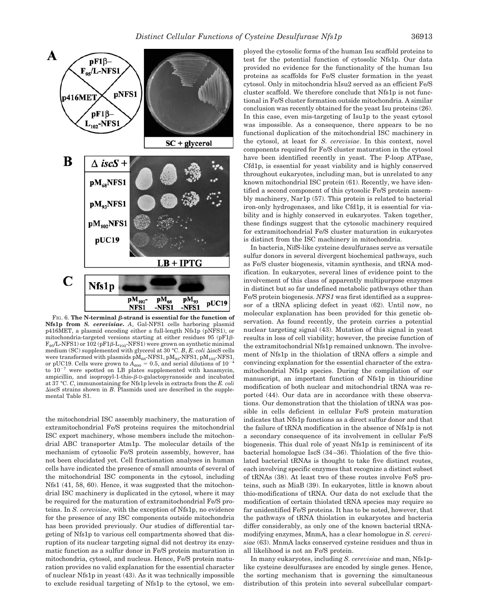

FIG. 6. The N-terminal  $\beta$ -strand is essential for the function of **Nfs1p from** *S. cerevisiae***.** *A*, Gal-NFS1 cells harboring plasmid p416MET, a plasmid encoding either a full-length Nfs1p (pNFS1), or mitochondria-targeted versions starting at either residues  $95$  (pF1 $\beta$ - $F_{95}/L$ -NFS1) or 102 (pF1 $\beta$ - $L_{102}$ -NFS1) were grown on synthetic minimal medium (SC) supplemented with glycerol at 30 °C. *B*, *E. coli*  $\triangle$ iscS cells were transformed with plasmids  $pM_{68}$ -NFS1,  $pM_{93}$ -NFS1,  $pM_{102}$ -NFS1, or pUC19. Cells were grown to  $A_{600} = 0.5$ , and serial dilutions of 10<sup>-</sup> to  $10^{-7}$  were spotted on LB plates supplemented with kanamycin, ampicillin, and isopropyl-1-thio- $\beta$ -D-galactopyranoside and incubated at 37 °C. *C*, immunostaining for Nfs1p levels in extracts from the *E. coli* -iscS strains shown in *B*. Plasmids used are described in the supplemental Table S1.

the mitochondrial ISC assembly machinery, the maturation of extramitochondrial Fe/S proteins requires the mitochondrial ISC export machinery, whose members include the mitochondrial ABC transporter Atm1p. The molecular details of the mechanism of cytosolic Fe/S protein assembly, however, has not been elucidated yet. Cell fractionation analyses in human cells have indicated the presence of small amounts of several of the mitochondrial ISC components in the cytosol, including Nfs1 (41, 58, 60). Hence, it was suggested that the mitochondrial ISC machinery is duplicated in the cytosol, where it may be required for the maturation of extramitochondrial Fe/S proteins. In *S. cerevisiae*, with the exception of Nfs1p, no evidence for the presence of any ISC components outside mitochondria has been provided previously. Our studies of differential targeting of Nfs1p to various cell compartments showed that disruption of its nuclear targeting signal did not destroy its enzymatic function as a sulfur donor in Fe/S protein maturation in mitochondria, cytosol, and nucleus. Hence, Fe/S protein maturation provides no valid explanation for the essential character of nuclear Nfs1p in yeast (43). As it was technically impossible to exclude residual targeting of Nfs1p to the cytosol, we employed the cytosolic forms of the human Isu scaffold proteins to test for the potential function of cytosolic Nfs1p. Our data provided no evidence for the functionality of the human Isu proteins as scaffolds for Fe/S cluster formation in the yeast cytosol. Only in mitochondria hIsu2 served as an efficient Fe/S cluster scaffold. We therefore conclude that Nfs1p is not functional in Fe/S cluster formation outside mitochondria. A similar conclusion was recently obtained for the yeast Isu proteins (26). In this case, even mis-targeting of Isu1p to the yeast cytosol was impossible. As a consequence, there appears to be no functional duplication of the mitochondrial ISC machinery in the cytosol, at least for *S. cerevisiae*. In this context, novel components required for Fe/S cluster maturation in the cytosol have been identified recently in yeast. The P-loop ATPase, Cfd1p, is essential for yeast viability and is highly conserved throughout eukaryotes, including man, but is unrelated to any known mitochondrial ISC protein (61). Recently, we have identified a second component of this cytosolic Fe/S protein assembly machinery, Nar1p (57). This protein is related to bacterial iron-only hydrogenases, and like Cfd1p, it is essential for viability and is highly conserved in eukaryotes. Taken together, these findings suggest that the cytosolic machinery required for extramitochondrial Fe/S cluster maturation in eukaryotes is distinct from the ISC machinery in mitochondria.

In bacteria, NifS-like cysteine desulfurases serve as versatile sulfur donors in several divergent biochemical pathways, such as Fe/S cluster biogenesis, vitamin synthesis, and tRNA modification. In eukaryotes, several lines of evidence point to the involvement of this class of apparently multipurpose enzymes in distinct but so far undefined metabolic pathways other than Fe/S protein biogenesis. *NFS1* was first identified as a suppressor of a tRNA splicing defect in yeast (62). Until now, no molecular explanation has been provided for this genetic observation. As found recently, the protein carries a potential nuclear targeting signal (43). Mutation of this signal in yeast results in loss of cell viability; however, the precise function of the extramitochondrial Nfs1p remained unknown. The involvement of Nfs1p in the thiolation of tRNA offers a simple and convincing explanation for the essential character of the extramitochondrial Nfs1p species. During the compilation of our manuscript, an important function of Nfs1p in thiouridine modification of both nuclear and mitochondrial tRNA was reported (44). Our data are in accordance with these observations. Our demonstration that the thiolation of tRNA was possible in cells deficient in cellular Fe/S protein maturation indicates that Nfs1p functions as a direct sulfur donor and that the failure of tRNA modification in the absence of Nfs1p is not a secondary consequence of its involvement in cellular Fe/S biogenesis. This dual role of yeast Nfs1p is reminiscent of its bacterial homologue IscS (34–36). Thiolation of the five thiolated bacterial tRNAs is thought to take five distinct routes, each involving specific enzymes that recognize a distinct subset of tRNAs (38). At least two of these routes involve Fe/S proteins, such as MiaB (39). In eukaryotes, little is known about thio-modifications of tRNA. Our data do not exclude that the modification of certain thiolated tRNA species may require so far unidentified Fe/S proteins. It has to be noted, however, that the pathways of tRNA thiolation in eukaryotes and bacteria differ considerably, as only one of the known bacterial tRNAmodifying enzymes, MnmA, has a clear homologue in *S. cerevisiae* (63). MnmA lacks conserved cysteine residues and thus in all likelihood is not an Fe/S protein.

In many eukaryotes, including *S. cerevisiae* and man, Nfs1plike cysteine desulfurases are encoded by single genes. Hence, the sorting mechanism that is governing the simultaneous distribution of this protein into several subcellular compart-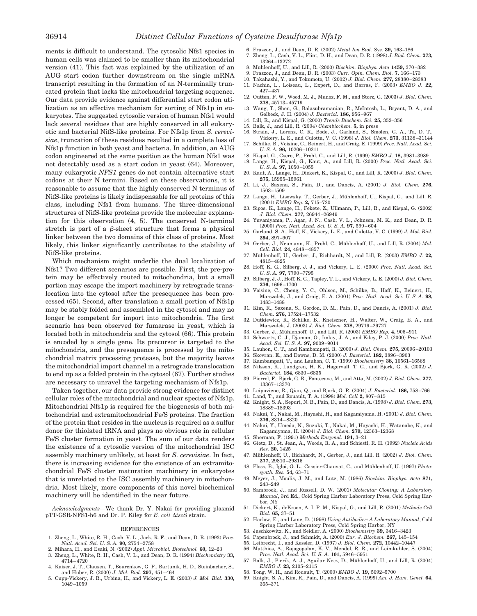ments is difficult to understand. The cytosolic Nfs1 species in human cells was claimed to be smaller than its mitochondrial version (41). This fact was explained by the utilization of an AUG start codon further downstream on the single mRNA transcript resulting in the formation of an N-terminally truncated protein that lacks the mitochondrial targeting sequence. Our data provide evidence against differential start codon utilization as an effective mechanism for sorting of Nfs1p in eukaryotes. The suggested cytosolic version of human Nfs1 would lack several residues that are highly conserved in all eukaryotic and bacterial NifS-like proteins. For Nfs1p from *S. cerevisiae*, truncation of these residues resulted in a complete loss of Nfs1p function in both yeast and bacteria. In addition, an AUG codon engineered at the same position as the human Nfs1 was not detectably used as a start codon in yeast (64). Moreover, many eukaryotic *NFS1* genes do not contain alternative start codons at their N termini. Based on these observations, it is reasonable to assume that the highly conserved N terminus of NifS-like proteins is likely indispensable for all proteins of this class, including Nfs1 from humans. The three-dimensional structures of NifS-like proteins provide the molecular explanation for this observation (4, 5). The conserved N-terminal stretch is part of a  $\beta$ -sheet structure that forms a physical linker between the two domains of this class of proteins. Most likely, this linker significantly contributes to the stability of NifS-like proteins.

Which mechanism might underlie the dual localization of Nfs1? Two different scenarios are possible. First, the pre-protein may be effectively routed to mitochondria, but a small portion may escape the import machinery by retrograde translocation into the cytosol after the presequence has been processed (65). Second, after translation a small portion of Nfs1p may be stably folded and assembled in the cytosol and may no longer be competent for import into mitochondria. The first scenario has been observed for fumarase in yeast, which is located both in mitochondria and the cytosol (66). This protein is encoded by a single gene. Its precursor is targeted to the mitochondria, and the presequence is processed by the mitochondrial matrix processing protease, but the majority leaves the mitochondrial import channel in a retrograde translocation to end up as a folded protein in the cytosol (67). Further studies are necessary to unravel the targeting mechanism of Nfs1p.

Taken together, our data provide strong evidence for distinct cellular roles of the mitochondrial and nuclear species of Nfs1p. Mitochondrial Nfs1p is required for the biogenesis of both mitochondrial and extramitochondrial Fe/S proteins. The fraction of the protein that resides in the nucleus is required as a sulfur donor for thiolated tRNA and plays no obvious role in cellular Fe/S cluster formation in yeast. The sum of our data renders the existence of a cytosolic version of the mitochondrial ISC assembly machinery unlikely, at least for *S. cerevisiae*. In fact, there is increasing evidence for the existence of an extramitochondrial Fe/S cluster maturation machinery in eukaryotes that is unrelated to the ISC assembly machinery in mitochondria. Most likely, more components of this novel biochemical machinery will be identified in the near future.

*Acknowledgments—*We thank Dr. Y. Nakai for providing plasmid pTT-GSR-NFS1-h6 and Dr. P. Kiley for *E. coli*  $\triangle iscS$  strain.

#### REFERENCES

- 1. Zheng, L., White, R. H., Cash, V. L., Jack, R. F., and Dean, D. R. (1993) *Proc. Natl. Acad. Sci. U. S. A.* **90,** 2754–2758
- 2. Mihara, H., and Esaki, N. (2002) *Appl. Microbiol. Biotechnol.* **60,** 12–23
- 3. Zheng, L., White, R. H., Cash, V. L., and Dean, D. R. (1994) *Biochemistry* **33,** 4714–4720
- 4. Kaiser, J. T., Clausen, T., Bourenkow, G. P., Bartunik, H. D., Steinbacher, S., and Huber, R. (2000) *J. Mol. Biol.* **297,** 451–464
- 5. Cupp-Vickery, J. R., Urbina, H., and Vickery, L. E. (2003) *J. Mol. Biol.* **330,** 1049–1059
- 6. Frazzon, J., and Dean, D. R. (2002) *Metal Ion Biol. Sys.* **39,** 163–186
- 7. Zheng, L., Cash, V. L., Flint, D. H., and Dean, D. R. (1998) *J. Biol. Chem.* **273,** 13264–13272
- 8. Mu¨hlenhoff, U., and Lill, R. (2000) *Biochim. Biophys. Acta* **1459,** 370–382
- 9. Frazzon, J., and Dean, D. R. (2003) *Curr. Opin. Chem. Biol.* **7,** 166–173
- 10. Takahashi, Y., and Tokumoto, U. (2002) *J. Biol. Chem.* **277,** 28380–28383
- 11. Nachin, L., Loiseau, L., Expert, D., and Barras, F. (2003) *EMBO J.* **22,** 427–437
- 12. Outten, F. W., Wood, M. J., Munoz, F. M., and Storz, G. (2003) *J. Biol. Chem.* **278,** 45713–45719
- 13. Wang, T., Shen, G., Balasubramanian, R., McIntosh, L., Bryant, D. A., and Golbeck, J. H. (2004) *J. Bacteriol.* **186,** 956–967
- 14. Lill, R., and Kispal, G. (2000) *Trends Biochem. Sci.* **25,** 352–356
- 15. Balk, J., and Lill, R. (2004) *Chembiochem.* **5,** in press
- 16. Strain, J., Lorenz, C. R., Bode, J., Garland, S., Smolen, G. A., Ta, D. T., Vickery, L. E., and Culotta, V. C. (1998) *J. Biol. Chem.* **273,** 31138–31144
- 17. Schilke, B., Voisine, C., Beinert, H., and Craig, E. (1999) *Proc. Natl. Acad. Sci. U. S. A.* **96,** 10206–10211
- 18. Kispal, G., Csere, P., Prohl, C., and Lill, R. (1999) *EMBO J.* **18,** 3981–3989 19. Lange, H., Kispal, G., Kaut, A., and Lill, R. (2000) *Proc. Natl. Acad. Sci.*
- *U. S. A.* **97,** 1050–1055 20. Kaut, A., Lange, H., Diekert, K., Kispal, G., and Lill, R. (2000) *J. Biol. Chem.* **275,** 15955–15961
- 21. Li, J., Saxena, S., Pain, D., and Dancis, A. (2001) *J. Biol. Chem.* **276,** 1503–1509
- 22. Lange, H., Lisowsky, T., Gerber, J., Mühlenhoff, U., Kispal, G., and Lill, R. (2001) *EMBO Rep.* **2,** 715–720
- 23. Sipos, K., Lange, H., Fekete, Z., Ullmann, P., Lill, R., and Kispal, G. (2002) *J. Biol. Chem.* **277,** 26944–26949
- 24. Yuvaniyama, P., Agar, J. N., Cash, V. L., Johnson, M. K., and Dean, D. R. (2000) *Proc. Natl. Acad. Sci. U. S. A.* **97,** 599–604
- 25. Garland, S. A., Hoff, K., Vickery, L. E., and Culotta, V. C. (1999) *J. Mol. Biol.* **294,** 897–907
- 26. Gerber, J., Neumann, K., Prohl, C., Mühlenhoff, U., and Lill, R. (2004) *Mol. Cell. Biol.* **24,** 4848–4857
- 27. Mühlenhoff, U., Gerber, J., Richhardt, N., and Lill, R. (2003) *EMBO J.* 22, 4815–4825
- 28. Hoff, K. G., Silberg, J. J., and Vickery, L. E. (2000) *Proc. Natl. Acad. Sci. U. S. A.* **97,** 7790–7795
- 29. Silberg, J. J., Hoff, K. G., Tapley, T. L., and Vickery, L. E. (2000) *J. Biol. Chem.* **276,** 1696–1700
- 30. Voisine, C., Cheng, Y. C., Ohlson, M., Schilke, B., Hoff, K., Beinert, H., Marszalek, J., and Craig, E. A. (2001) *Proc. Natl. Acad. Sci. U. S. A.* **98,** 1483–1488
- 31. Kim, R., Saxena, S., Gordon, D. M., Pain, D., and Dancis, A. (2001) *J. Biol. Chem.* **276,** 17524–17532
- 32. Dutkiewicz, R., Schilke, B., Kneiszner, H., Walter, W., Craig, E. A., and Marszalek, J. (2003) *J. Biol. Chem.* **278,** 29719–29727
- 33. Gerber, J., Mühlenhoff, U., and Lill, R. (2003) *EMBO Rep.* 4, 906-911 34. Schwartz, C. J., Djaman, O., Imlay, J. A., and Kiley, P. J. (2000) *Proc. Natl.*
- *Acad. Sci. U. S. A.* **97,** 9009–9014 35. Lauhon, C. T., and Kambampati, R. (2000) *J. Biol. Chem.* **275,** 20096–20103
- 36. Skovran, E., and Downs, D. M. (2000) *J. Bacteriol.* **182,** 3896–3903
- 37. Kambampati, T., and Lauhon, C. T. (1999) *Biochemistry* **38,** 16561–16568
- 38. Nilsson, K., Lundgren, H. K., Hagervall, T. G., and Bjork, G. R. (2002) *J. Bacteriol.* **184,** 6830–6835
- 39. Pierrel, F., Bjork, G. R., Fontecave, M., and Atta, M. (2002) *J. Biol. Chem.* **277,** 13367–13370
- 40. Leipuviene, R., Qian, Q., and Bjork, G. R. (2004) *J. Bacteriol.* **186,** 758–766 41. Land, T., and Rouault, T. A. (1998) *Mol. Cell* **2,** 807–815
- 
- 42. Knight, S. A., Sepuri, N. B., Pain, D., and Dancis, A. (1998) *J. Biol. Chem.* **273,** 18389–18393
- 43. Nakai, Y., Nakai, M., Hayashi, H., and Kagamiyama, H. (2001) *J. Biol. Chem.* **276,** 8314–8320
- 44. Nakai, Y., Umeda, N., Suzuki, T., Nakai, M., Hayashi, H., Watanabe, K., and Kagamiyama, H. (2004) *J. Biol. Chem.* **279,** 12363–12368
- 45. Sherman, F. (1991) *Methods Enzymol.* **194,** 3–21
- 46. Gietz, D., St. Jean, A., Woods, R. A., and Schiestl, R. H. (1992) *Nucleic Acids Res.* **20,** 1425
- 47. Mu¨hlenhoff, U., Richhardt, N., Gerber, J., and Lill, R. (2002) *J. Biol. Chem.* **277,** 29810–29816
- 48. Floss, B., Igloi, G. L., Cassier-Chauvat, C., and Mühlenhoff, U. (1997) Photo*synth. Res.* **54,** 63–71
- 49. Meyer, J., Moulis, J. M., and Lutz, M. (1986) *Biochim. Biophys. Acta* **871,** 243–249
- 50. Sambrook, J., and Russell, D. W. (2001) *Molecular Cloning: A Laboratory Manual*, 3rd Ed., Cold Spring Harbor Laboratory Press, Cold Spring Harbor, NY
- 51. Diekert, K., deKroon, A. I. P. M., Kispal, G., and Lill, R. (2001) *Methods Cell Biol.* **65,** 37–51
- 52. Harlow, E., and Lane, D. (1998) *Using Antibodies: A Laboratory Manual*, Cold Spring Harbor Laboratory Press, Cold Spring Harbor, NY
- 53. Jaschkowitz, K., and Seidler, A. (2000) *Biochemistry* **39,** 3416–3423
- 54. Papenbrock, J., and Schmidt, A. (2000) *Eur. J. Biochem.* **267,** 145–154 55. Leibrecht, I., and Kessler, D. (1997) *J. Biol. Chem.* **272,** 10442–10447
- 56. Matthies, A., Rajagopalan, K. V., Mendel, R. R., and Leimkuhler, S. (2004)
- *Proc. Natl. Acad. Sci. U. S. A.* **101,** 5946–5951
- 57. Balk, J., Pierik, A. J., Aguilar Netz, D., Mühlenhoff, U., and Lill, R. (2004) *EMBO J.* **23,** 2105–2115
- 58. Tong, W. H., and Rouault, T. (2000) *EMBO J.* **19,** 5692–5700
- 59. Knight, S. A., Kim, R., Pain, D., and Dancis, A. (1999) *Am. J. Hum. Genet.* **64,** 365–371